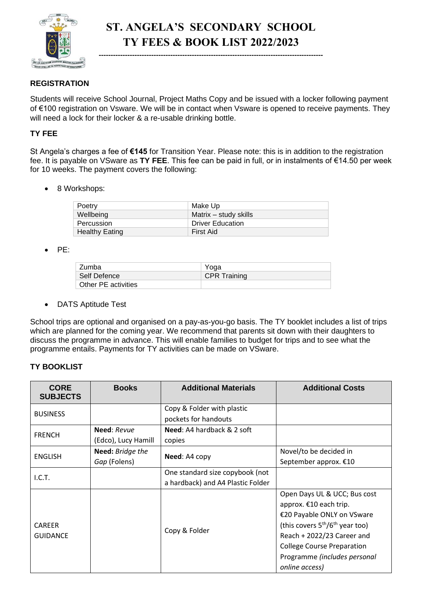

## **ST. ANGELA'S SECONDARY SCHOOL TY FEES & BOOK LIST 2022/2023**

**----------------------------------------------------------------------------------------------**

## **REGISTRATION**

Students will receive School Journal, Project Maths Copy and be issued with a locker following payment of €100 registration on Vsware. We will be in contact when Vsware is opened to receive payments. They will need a lock for their locker & a re-usable drinking bottle.

## **TY FEE**

St Angela's charges a fee of **€145** for Transition Year. Please note: this is in addition to the registration fee. It is payable on VSware as **TY FEE**. This fee can be paid in full, or in instalments of €14.50 per week for 10 weeks. The payment covers the following:

• 8 Workshops:

| Poetry                | Make Up                 |
|-----------------------|-------------------------|
| Wellbeing             | Matrix – study skills   |
| Percussion            | <b>Driver Education</b> |
| <b>Healthy Eating</b> | First Aid               |

• PE:

| Zumba               | Yoga                |
|---------------------|---------------------|
| Self Defence        | <b>CPR Training</b> |
| Other PE activities |                     |

• DATS Aptitude Test

School trips are optional and organised on a pay-as-you-go basis. The TY booklet includes a list of trips which are planned for the coming year. We recommend that parents sit down with their daughters to discuss the programme in advance. This will enable families to budget for trips and to see what the programme entails. Payments for TY activities can be made on VSware.

## **TY BOOKLIST**

| <b>CORE</b><br><b>SUBJECTS</b>   | <b>Books</b>        | <b>Additional Materials</b>           | <b>Additional Costs</b>                |
|----------------------------------|---------------------|---------------------------------------|----------------------------------------|
| <b>BUSINESS</b>                  |                     | Copy & Folder with plastic            |                                        |
|                                  |                     | pockets for handouts                  |                                        |
| <b>FRENCH</b>                    | <b>Need:</b> Revue  | <b>Need: A4 hardback &amp; 2 soft</b> |                                        |
|                                  | (Edco), Lucy Hamill | copies                                |                                        |
| <b>ENGLISH</b>                   | Need: Bridge the    | Need: A4 copy                         | Novel/to be decided in                 |
|                                  | Gap (Folens)        |                                       | September approx. €10                  |
| I.C.T.                           |                     | One standard size copybook (not       |                                        |
|                                  |                     | a hardback) and A4 Plastic Folder     |                                        |
| <b>CAREER</b><br><b>GUIDANCE</b> |                     | Copy & Folder                         | Open Days UL & UCC; Bus cost           |
|                                  |                     |                                       | approx. €10 each trip.                 |
|                                  |                     |                                       | €20 Payable ONLY on VSware             |
|                                  |                     |                                       | (this covers $5^{th}/6^{th}$ year too) |
|                                  |                     |                                       | Reach + 2022/23 Career and             |
|                                  |                     |                                       | <b>College Course Preparation</b>      |
|                                  |                     |                                       | Programme (includes personal           |
|                                  |                     |                                       | online access)                         |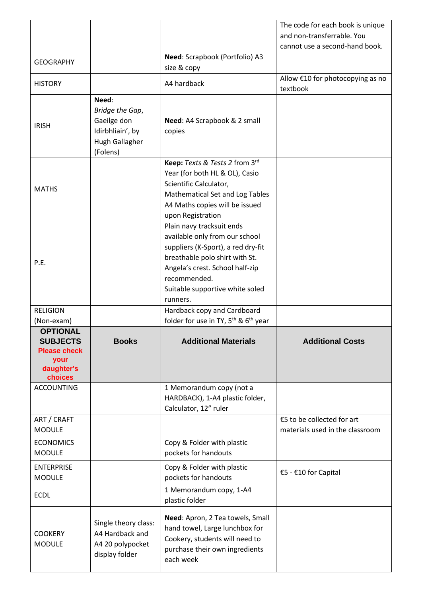|                                                                                            |                                                                                           |                                                                                                                                                                                                                                       | The code for each book is unique                              |
|--------------------------------------------------------------------------------------------|-------------------------------------------------------------------------------------------|---------------------------------------------------------------------------------------------------------------------------------------------------------------------------------------------------------------------------------------|---------------------------------------------------------------|
|                                                                                            |                                                                                           |                                                                                                                                                                                                                                       | and non-transferrable. You                                    |
|                                                                                            |                                                                                           |                                                                                                                                                                                                                                       | cannot use a second-hand book.                                |
| <b>GEOGRAPHY</b>                                                                           |                                                                                           | Need: Scrapbook (Portfolio) A3<br>size & copy                                                                                                                                                                                         |                                                               |
| <b>HISTORY</b>                                                                             |                                                                                           | A4 hardback                                                                                                                                                                                                                           | Allow €10 for photocopying as no<br>textbook                  |
| <b>IRISH</b>                                                                               | Need:<br>Bridge the Gap,<br>Gaeilge don<br>Idirbhliain', by<br>Hugh Gallagher<br>(Folens) | Need: A4 Scrapbook & 2 small<br>copies                                                                                                                                                                                                |                                                               |
| <b>MATHS</b>                                                                               |                                                                                           | Keep: Texts & Tests 2 from 3rd<br>Year (for both HL & OL), Casio<br>Scientific Calculator,<br>Mathematical Set and Log Tables<br>A4 Maths copies will be issued<br>upon Registration                                                  |                                                               |
| P.E.                                                                                       |                                                                                           | Plain navy tracksuit ends<br>available only from our school<br>suppliers (K-Sport), a red dry-fit<br>breathable polo shirt with St.<br>Angela's crest. School half-zip<br>recommended.<br>Suitable supportive white soled<br>runners. |                                                               |
| <b>RELIGION</b><br>(Non-exam)                                                              |                                                                                           | Hardback copy and Cardboard<br>folder for use in TY, 5 <sup>th</sup> & 6 <sup>th</sup> year                                                                                                                                           |                                                               |
| <b>OPTIONAL</b><br><b>SUBJECTS</b><br><b>Please check</b><br>your<br>daughter's<br>choices | <b>Books</b>                                                                              | <b>Additional Materials</b>                                                                                                                                                                                                           | <b>Additional Costs</b>                                       |
| <b>ACCOUNTING</b>                                                                          |                                                                                           | 1 Memorandum copy (not a<br>HARDBACK), 1-A4 plastic folder,<br>Calculator, 12" ruler                                                                                                                                                  |                                                               |
| ART / CRAFT<br><b>MODULE</b>                                                               |                                                                                           |                                                                                                                                                                                                                                       | €5 to be collected for art<br>materials used in the classroom |
| <b>ECONOMICS</b><br><b>MODULE</b>                                                          |                                                                                           | Copy & Folder with plastic<br>pockets for handouts                                                                                                                                                                                    |                                                               |
| <b>ENTERPRISE</b><br><b>MODULE</b>                                                         |                                                                                           | Copy & Folder with plastic<br>pockets for handouts                                                                                                                                                                                    | €5 - €10 for Capital                                          |
| <b>ECDL</b>                                                                                |                                                                                           | 1 Memorandum copy, 1-A4<br>plastic folder                                                                                                                                                                                             |                                                               |
| <b>COOKERY</b><br><b>MODULE</b>                                                            | Single theory class:<br>A4 Hardback and<br>A4 20 polypocket<br>display folder             | Need: Apron, 2 Tea towels, Small<br>hand towel, Large lunchbox for<br>Cookery, students will need to<br>purchase their own ingredients<br>each week                                                                                   |                                                               |